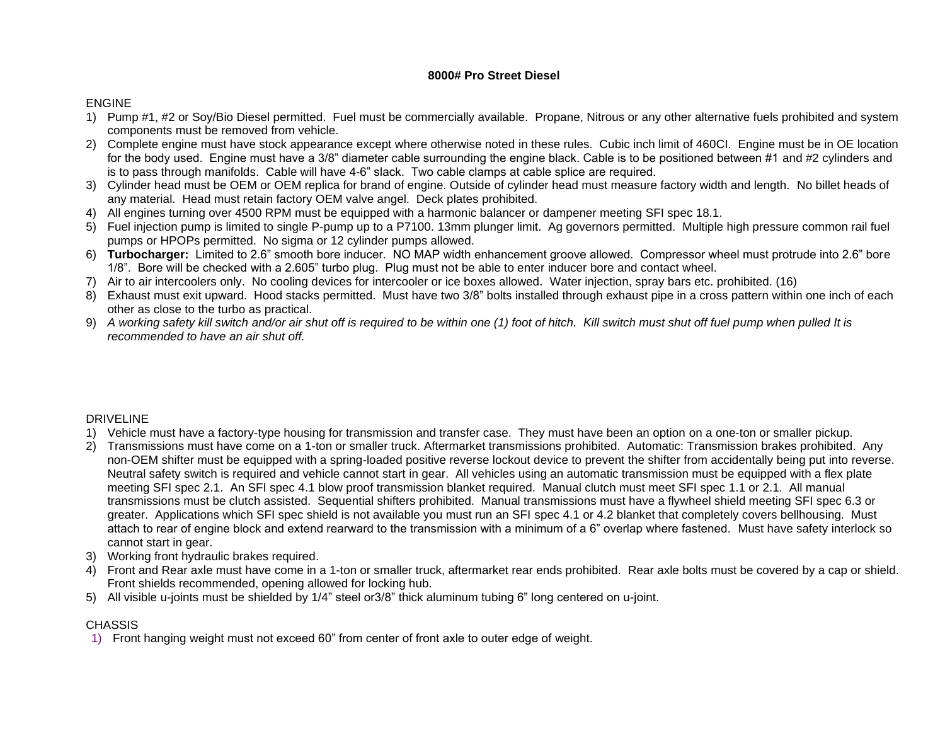## **8000# Pro Street Diesel**

## ENGINE

- 1) Pump #1, #2 or Soy/Bio Diesel permitted. Fuel must be commercially available. Propane, Nitrous or any other alternative fuels prohibited and system components must be removed from vehicle.
- 2) Complete engine must have stock appearance except where otherwise noted in these rules. Cubic inch limit of 460CI. Engine must be in OE location for the body used. Engine must have a 3/8" diameter cable surrounding the engine black. Cable is to be positioned between #1 and #2 cylinders and is to pass through manifolds. Cable will have 4-6" slack. Two cable clamps at cable splice are required.
- 3) Cylinder head must be OEM or OEM replica for brand of engine. Outside of cylinder head must measure factory width and length. No billet heads of any material. Head must retain factory OEM valve angel. Deck plates prohibited.
- 4) All engines turning over 4500 RPM must be equipped with a harmonic balancer or dampener meeting SFI spec 18.1.
- 5) Fuel injection pump is limited to single P-pump up to a P7100. 13mm plunger limit. Ag governors permitted. Multiple high pressure common rail fuel pumps or HPOPs permitted. No sigma or 12 cylinder pumps allowed.
- 6) **Turbocharger:** Limited to 2.6" smooth bore inducer. NO MAP width enhancement groove allowed. Compressor wheel must protrude into 2.6" bore 1/8". Bore will be checked with a 2.605" turbo plug. Plug must not be able to enter inducer bore and contact wheel.
- 7) Air to air intercoolers only. No cooling devices for intercooler or ice boxes allowed. Water injection, spray bars etc. prohibited. (16)
- 8) Exhaust must exit upward. Hood stacks permitted. Must have two 3/8" bolts installed through exhaust pipe in a cross pattern within one inch of each other as close to the turbo as practical.
- 9) *A working safety kill switch and/or air shut off is required to be within one (1) foot of hitch. Kill switch must shut off fuel pump when pulled It is recommended to have an air shut off.*

## DRIVELINE

- 1) Vehicle must have a factory-type housing for transmission and transfer case. They must have been an option on a one-ton or smaller pickup.
- 2) Transmissions must have come on a 1-ton or smaller truck. Aftermarket transmissions prohibited. Automatic: Transmission brakes prohibited. Any non-OEM shifter must be equipped with a spring-loaded positive reverse lockout device to prevent the shifter from accidentally being put into reverse. Neutral safety switch is required and vehicle cannot start in gear. All vehicles using an automatic transmission must be equipped with a flex plate meeting SFI spec 2.1. An SFI spec 4.1 blow proof transmission blanket required. Manual clutch must meet SFI spec 1.1 or 2.1. All manual transmissions must be clutch assisted. Sequential shifters prohibited. Manual transmissions must have a flywheel shield meeting SFI spec 6.3 or greater. Applications which SFI spec shield is not available you must run an SFI spec 4.1 or 4.2 blanket that completely covers bellhousing. Must attach to rear of engine block and extend rearward to the transmission with a minimum of a 6" overlap where fastened. Must have safety interlock so cannot start in gear.
- 3) Working front hydraulic brakes required.
- 4) Front and Rear axle must have come in a 1-ton or smaller truck, aftermarket rear ends prohibited. Rear axle bolts must be covered by a cap or shield. Front shields recommended, opening allowed for locking hub.
- 5) All visible u-joints must be shielded by 1/4" steel or3/8" thick aluminum tubing 6" long centered on u-joint.

## **CHASSIS**

1) Front hanging weight must not exceed 60" from center of front axle to outer edge of weight.